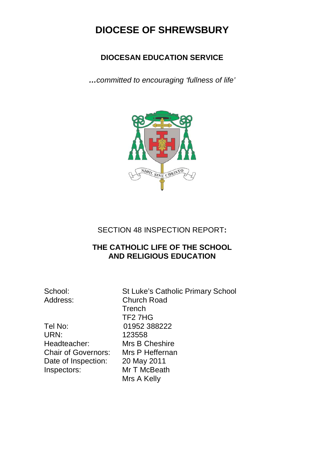## **DIOCESE OF SHREWSBURY**

## **DIOCESAN EDUCATION SERVICE**

*…committed to encouraging 'fullness of life'*



SECTION 48 INSPECTION REPORT**:**

## **THE CATHOLIC LIFE OF THE SCHOOL AND RELIGIOUS EDUCATION**

Tel No: 01952 388222 URN: 123558 Headteacher: Mrs B Cheshire Chair of Governors: Mrs P Heffernan Date of Inspection: 20 May 2011<br>Inspectors: Mr T McBeat

School: St Luke's Catholic Primary School Address: Church Road **Trench**  TF2 7HG **Mr T McBeath** Mrs A Kelly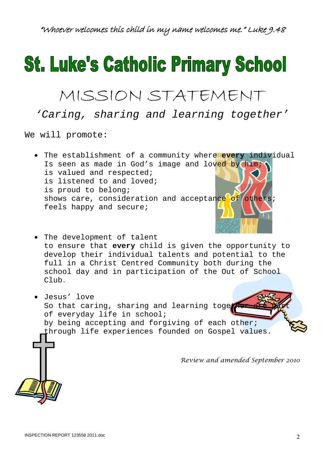# **St. Luke's Catholic Primary School**

## MISSION STATEMENT

*'Caring, sharing and learning together'*

We will promote:

- The establishment of a community where **every** individual Is seen as made in God's image and loved by him; is valued and respected; is listened to and loved; is proud to belong; shows care, consideration and acceptance of others; feels happy and secure;
- The development of talent to ensure that **every** child is given the opportunity to develop their individual talents and potential to the full in a Christ Centred Community both during the school day and in participation of the Out of School Club.
- Jesus' love So that caring, sharing and learning toget of everyday life in school; by being accepting and forgiving of each other; through life experiences founded on Gospel values. *Review and amended September 2010*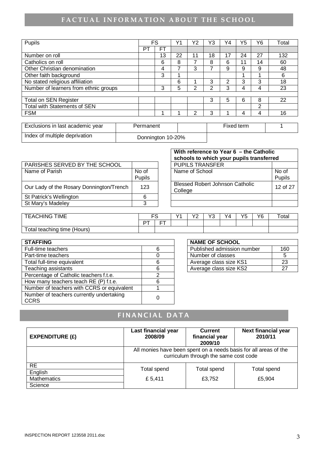## **FACTUAL INFORMATION ABOUT THE SCHOOL**

| Pupils                                |    | FS        | Υ1 | Υ2 | Y3 | Y4 | Y5 | Υ6 | Total |
|---------------------------------------|----|-----------|----|----|----|----|----|----|-------|
|                                       | PT | <b>FT</b> |    |    |    |    |    |    |       |
| Number on roll                        |    | 13        | 22 |    | 18 | 17 | 24 | 27 | 132   |
| Catholics on roll                     |    | 6         | 8  |    | 8  | 6  | 11 | 14 | 60    |
| Other Christian denomination          |    | 4         |    | 3  |    | 9  | 9  | 9  | 48    |
| Other faith background                |    | 3         | ٠  |    |    |    |    |    | 6     |
| No stated religious affiliation       |    |           | 6  |    | 3  | っ  | 3  | 3  | 18    |
| Number of learners from ethnic groups |    | 3         | 5  | ⌒  | っ  | 3  | 4  | 4  | 23    |
|                                       |    |           |    |    |    |    |    |    |       |
| <b>Total on SEN Register</b>          |    |           |    |    | 3  | 5  | 6  | 8  | 22    |
| Total with Statements of SEN          |    |           |    |    |    |    |    | 2  |       |
| <b>FSM</b>                            |    |           |    | ⌒  | 3  |    | 4  | 4  | 16    |

| Exclusions in last academic year | Permanent         | Fixed term |  |
|----------------------------------|-------------------|------------|--|
| Index of multiple deprivation    | Donnington 10-20% |            |  |

| PARISHES SERVED BY THE SCHOOL            |        | <b>PUPILS TRANSFER</b>                            |
|------------------------------------------|--------|---------------------------------------------------|
| Name of Parish                           | No of  | Name of School                                    |
|                                          | Pupils |                                                   |
| Our Lady of the Rosary Donnington/Trench | 123    | <b>Blessed Robert Johnson Catholic</b><br>College |
| St Patrick's Wellington                  | 6      |                                                   |
| St Mary's Madeley                        |        |                                                   |
|                                          |        |                                                   |

| With reference to Year 6 – the Catholic<br>schools to which your pupils transferred |                 |  |  |  |
|-------------------------------------------------------------------------------------|-----------------|--|--|--|
| <b>PUPILS TRANSFER</b>                                                              |                 |  |  |  |
| Name of School                                                                      | No of<br>Pupils |  |  |  |
| <b>Blessed Robert Johnson Catholic</b><br>College                                   | 12 of 27        |  |  |  |
|                                                                                     |                 |  |  |  |
|                                                                                     |                 |  |  |  |

| <b>TIME</b><br><b>EACHING</b> |            | ro. | $\sqrt{2}$ | $\sqrt{2}$<br>- | $\sqrt{2}$<br>ن َ | Y4 | VĘ<br>ັ | Y6 | Total |
|-------------------------------|------------|-----|------------|-----------------|-------------------|----|---------|----|-------|
|                               | DT.<br>. . | --  |            |                 |                   |    |         |    |       |
| Total teaching time (Hours)   |            |     |            |                 |                   |    |         |    |       |

| <b>STAFFING</b>                            | <b>NAME OF SCHOOL</b> |                            |     |
|--------------------------------------------|-----------------------|----------------------------|-----|
| Full-time teachers                         | 6                     | Published admission number | 160 |
| Part-time teachers                         |                       | Number of classes          | 5   |
| Total full-time equivalent                 | 6                     | Average class size KS1     | 23  |
| Teaching assistants                        | 6                     | Average class size KS2     | 27  |
| Percentage of Catholic teachers f.t.e.     | ⌒                     |                            |     |
| How many teachers teach RE (P) f.t.e.      | 6                     |                            |     |
| Number of teachers with CCRS or equivalent |                       |                            |     |
| Number of teachers currently undertaking   | 0                     |                            |     |
| <b>CCRS</b>                                |                       |                            |     |

| <b>NAME OF SCHOOL</b>      |     |
|----------------------------|-----|
| Published admission number | 160 |
| Number of classes          | :   |
| Average class size KS1     | 23  |
| Average class size KS2     | ツフ  |

## FINANCIAL DATA

| <b>EXPENDITURE (£)</b>                                | Last financial year<br>2008/09                                                                            | <b>Current</b><br>financial year<br>2009/10 | <b>Next financial year</b><br>2010/11 |  |  |  |  |
|-------------------------------------------------------|-----------------------------------------------------------------------------------------------------------|---------------------------------------------|---------------------------------------|--|--|--|--|
|                                                       | All monies have been spent on a needs basis for all areas of the<br>curriculum through the same cost code |                                             |                                       |  |  |  |  |
| <b>RE</b><br>English<br><b>Mathematics</b><br>Science | Total spend<br>£ 5,411                                                                                    | Total spend<br>£3,752                       | Total spend<br>£5,904                 |  |  |  |  |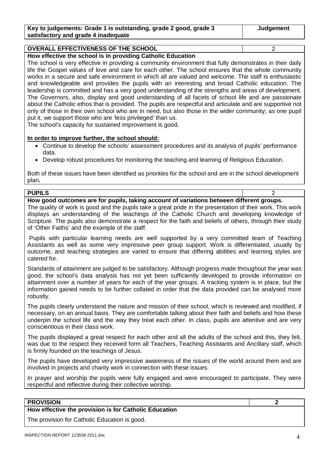| Key to judgements: Grade 1 is outstanding, grade 2 good, grade 3 | Judgement |
|------------------------------------------------------------------|-----------|
| satisfactory and grade 4 inadequate                              |           |

## **OVERALL EFFECTIVENESS OF THE SCHOOL** 2

**How effective the school is in providing Catholic Education**

The school is very effective in providing a community environment that fully demonstrates in their daily life the Gospel values of love and care for each other. The school ensures that the whole community works in a secure and safe environment in which all are valued and welcome. The staff is enthusiastic and knowledgeable and provides the pupils with an interesting and broad Catholic education. The leadership is committed and has a very good understanding of the strengths and areas of development. The Governors, also, display and good understanding of all facets of school life and are passionate about the Catholic ethos that is provided. The pupils are respectful and articulate and are supportive not only of those in their own school who are in need, but also those in the wider community; as one pupil put it, we support those who are 'less privileged' than us.

The school's capacity for sustained improvement is good.

#### **In order to improve further, the school should:**

- Continue to develop the schools' assessment procedures and its analysis of pupils' performance data.
- Develop robust procedures for monitoring the teaching and learning of Religious Education.

Both of these issues have been identified as priorities for the school and are in the school development plan**.**

| <b>PUPILS</b>                                                                            |  |
|------------------------------------------------------------------------------------------|--|
| How good outcomes are for pupils, taking account of variations between different groups. |  |

The quality of work is good and the pupils take a great pride in the presentation of their work. This work displays an understanding of the teachings of the Catholic Church and developing knowledge of Scripture. The pupils also demonstrate a respect for the faith and beliefs of others, through their study of 'Other Faiths' and the example of the staff.

Pupils with particular learning needs are well supported by a very committed team of Teaching Assistants as well as some very impressive peer group support. Work is differentiated, usually by outcome, and teaching strategies are varied to ensure that differing abilities and learning styles are catered for.

Standards of attainment are judged to be satisfactory. Although progress made throughout the year was good, the school's data analysis has not yet been sufficiently developed to provide information on attainment over a number of years for each of the year groups. A tracking system is in place, but the information gained needs to be further collated in order that the data provided can be analysed more robustly.

The pupils clearly understand the nature and mission of their school, which is reviewed and modified, if necessary, on an annual basis. They are comfortable talking about their faith and beliefs and how these underpin the school life and the way they treat each other. In class, pupils are attentive and are very conscientious in their class work.

The pupils displayed a great respect for each other and all the adults of the school and this, they felt, was due to the respect they received form all Teachers, Teaching Assistants and Ancillary staff, which is firmly founded on the teachings of Jesus.

The pupils have developed very impressive awareness of the issues of the world around them and are involved in projects and charity work in connection with these issues.

In prayer and worship the pupils were fully engaged and were encouraged to participate. They were respectful and reflective during their collective worship.

#### **PROVISION 2**

**How effective the provision is for Catholic Education** 

The provision for Catholic Education is good.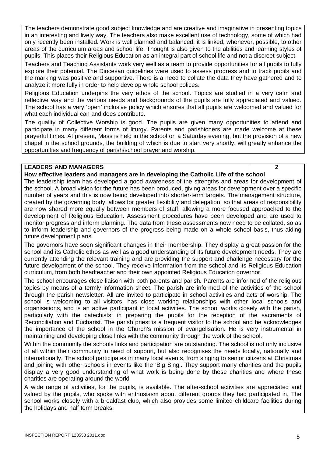The teachers demonstrate good subject knowledge and are creative and imaginative in presenting topics in an interesting and lively way. The teachers also make excellent use of technology, some of which had only recently been installed. Work is well planned and balanced; it is linked, whenever, possible, to other areas of the curriculum areas and school life. Thought is also given to the abilities and learning styles of pupils. This places their Religious Education as an integral part of school life and not a discreet subject.

Teachers and Teaching Assistants work very well as a team to provide opportunities for all pupils to fully explore their potential. The Diocesan guidelines were used to assess progress and to track pupils and the marking was positive and supportive. There is a need to collate the data they have gathered and to analyze it more fully in order to help develop whole school polices.

Religious Education underpins the very ethos of the school. Topics are studied in a very calm and reflective way and the various needs and backgrounds of the pupils are fully appreciated and valued. The school has a very 'open' inclusive policy which ensures that all pupils are welcomed and valued for what each individual can and does contribute.

The quality of Collective Worship is good. The pupils are given many opportunities to attend and participate in many different forms of liturgy. Parents and parishioners are made welcome at these prayerful times. At present, Mass is held in the school on a Saturday evening, but the provision of a new chapel in the school grounds, the building of which is due to start very shortly, will greatly enhance the opportunities and frequency of parish/school prayer and worship.

#### **LEADERS AND MANAGERS 2**

**How effective leaders and managers are in developing the Catholic Life of the school**

The leadership team has developed a good awareness of the strengths and areas for development of the school. A broad vision for the future has been produced, giving areas for development over a specific number of years and this is now being developed into shorter-term targets. The management structure, created by the governing body, allows for greater flexibility and delegation, so that areas of responsibility are now shared more equally between members of staff, allowing a more focused approached to the development of Religious Education. Assessment procedures have been developed and are used to monitor progress and inform planning. The data from these assessments now need to be collated, so as to inform leadership and governors of the progress being made on a whole school basis, thus aiding future development plans.

The governors have seen significant changes in their membership. They display a great passion for the school and its Catholic ethos as well as a good understanding of its future development needs. They are currently attending the relevant training and are providing the support and challenge necessary for the future development of the school. They receive information from the school and its Religious Education curriculum, from both headteacher and their own appointed Religious Education governor.

The school encourages close liaison with both parents and parish. Parents are informed of the religious topics by means of a termly information sheet. The parish are informed of the activities of the school through the parish newsletter. All are invited to participate in school activities and acts of worship. The school is welcoming to all visitors, has close working relationships with other local schools and organisations, and is an active participant in local activities. The school works closely with the parish, particularly with the catechists, in preparing the pupils for the reception of the sacraments of Reconciliation and Eucharist. The parish priest is a frequent visitor to the school and he acknowledges the importance of the school in the Church's mission of evangelisation. He is very instrumental in maintaining and developing close links with the community through the work of the school.

Within the community the schools links and participation are outstanding. The school is not only inclusive of all within their community in need of support, but also recognises the needs locally, nationally and internationally. The school participates in many local events, from singing to senior citizens at Christmas and joining with other schools in events like the 'Big Sing'. They support many charities and the pupils display a very good understanding of what work is being done by these charities and where these charities are operating around the world

A wide range of activities, for the pupils, is available. The after-school activities are appreciated and valued by the pupils, who spoke with enthusiasm about different groups they had participated in. The school works closely with a breakfast club, which also provides some limited childcare facilities during the holidays and half term breaks.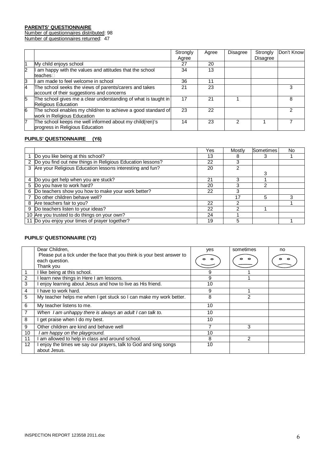#### **PARENTS' QUESTIONNAIRE**

Number of questionnaires distributed: 98

Number of questionnaires returned: 47

|   |                                                                                                     | Strongly<br>Agree | Agree | Disagree | Strongly<br>Disagree | Don't Know |
|---|-----------------------------------------------------------------------------------------------------|-------------------|-------|----------|----------------------|------------|
|   | My child enjoys school                                                                              | 27                | 20    |          |                      |            |
| 2 | am happy with the values and attitudes that the school<br>teaches□                                  | 34                | 13    |          |                      |            |
| З | am made to feel welcome in school                                                                   | 36                | 11    |          |                      |            |
| 4 | The school seeks the views of parents/carers and takes<br>account of their suggestions and concerns | 21                | 23    |          |                      |            |
| 5 | The school gives me a clear understanding of what is taught in<br><b>Religious Education</b>        | 17                | 21    |          |                      | 8          |
| 6 | The school enables my child/ren to achieve a good standard of<br>work in Religious Education        | 23                | 22    |          |                      |            |
| 7 | The school keeps me well informed about my child(ren)'s<br>progress in Religious Education          | 14                | 23    |          |                      |            |

#### **PUPILS' QUESTIONNAIRE (Y6)**

|                |                                                             | Yes. | Mostly | Sometimes | No. |
|----------------|-------------------------------------------------------------|------|--------|-----------|-----|
|                | Do you like being at this school?                           | 13   |        | 3         |     |
| $\overline{2}$ | Do you find out new things in Religious Education lessons?  | 22   |        |           |     |
|                | 3 Are your Religious Education lessons interesting and fun? | 20   |        |           |     |
|                |                                                             |      |        | 3         |     |
| 4              | Do you get help when you are stuck?                         | 21   |        |           |     |
|                | 5 Do you have to work hard?                                 | 20   |        | 2         |     |
| 6              | Do teachers show you how to make your work better?          | 22   |        |           |     |
|                | Do other children behave well?                              |      | 17     | 5         |     |
| 8              | Are teachers fair to you?                                   | 22   |        |           |     |
| 9              | Do teachers listen to your ideas?                           | 22   |        |           |     |
|                | 10 Are you trusted to do things on your own?                | 24   |        |           |     |
|                | 11 Do you enjoy your times of prayer together?              | 19   | 5      |           |     |

#### **PUPILS' QUESTIONNAIRE (Y2)**

|                | Dear Children,                                                         | yes | sometimes     | no |
|----------------|------------------------------------------------------------------------|-----|---------------|----|
|                | Please put a tick under the face that you think is your best answer to |     |               |    |
|                | each question.                                                         |     |               |    |
|                | Thank you                                                              |     |               |    |
| 1              | like being at this school.                                             | 9   |               |    |
| $\overline{2}$ | learn new things in Here I am lessons.                                 | 9   |               |    |
| 3              | enjoy learning about Jesus and how to live as His friend.              | 10  |               |    |
| 4              | have to work hard.                                                     | 9   |               |    |
| 5              | My teacher helps me when I get stuck so I can make my work better.     | 8   | 2             |    |
| 6              | My teacher listens to me.                                              | 10  |               |    |
| $\overline{7}$ | When I am unhappy there is always an adult I can talk to.              | 10  |               |    |
| 8              | get praise when I do my best.                                          | 10  |               |    |
| 9              | Other children are kind and behave well                                |     | 3             |    |
| 10             | I am happy on the playground.                                          | 10  |               |    |
| 11             | am allowed to help in class and around school.                         | 8   | $\mathcal{P}$ |    |
| 12             | enjoy the times we say our prayers, talk to God and sing songs         | 10  |               |    |
|                | about Jesus.                                                           |     |               |    |